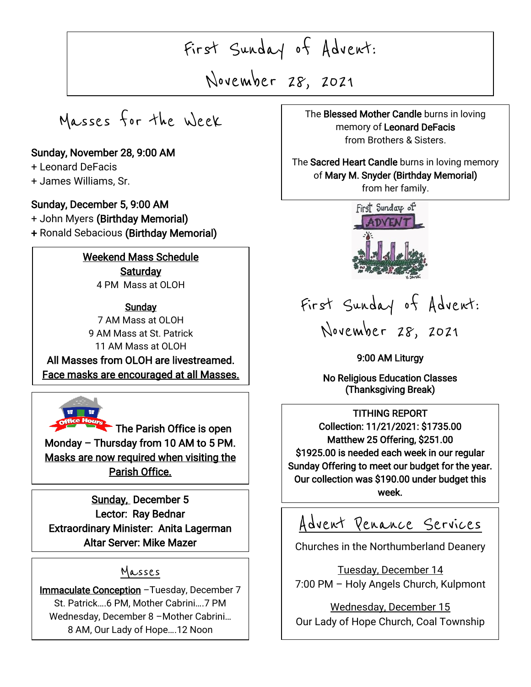First Sunday of Advent:

November 28, 2021

 $\overline{\phantom{a}}$ 

 $\overline{\phantom{a}}$ 

Masses for the Week

### Sunday, November 28, 9:00 AM

+ Leonard DeFacis

I

I

I

+ James Williams, Sr.

#### Sunday, December 5, 9:00 AM

+ John Myers (Birthday Memorial) + Ronald Sebacious (Birthday Memorial)

# Weekend Mass Schedule **Saturday**

4 PM Mass at OLOH

#### **Sundav**

7 AM Mass at OLOH 9 AM Mass at St. Patrick 11 AM Mass at OLOH All Masses from OLOH are livestreamed. Face masks are encouraged at all Masses.



The Parish Office is open Monday – Thursday from 10 AM to 5 PM. Masks are now required when visiting the Parish Office.

Sunday, December 5 Lector: Ray Bednar Extraordinary Minister: Anita Lagerman Altar Server: Mike Mazer

# Masses

**naculate Conception** − I uesday, Decembe<br>St. Patrick....6 PM, Mother Cabrini....7 PM  $\ddot{ }$ Immaculate Conception -Tuesday, December 7 Wednesday, December 8 –Mother Cabrini… 8 AM, Our Lady of Hope….12 Noon

memory of Leonard DeFacis , 2021 The Blessed Mother Candle burns in loving from Brothers & Sisters.

 $\overline{a}$ 

# The Sacred Heart Candle burns in loving memory of Mary M. Snyder (Birthday Memorial)

from her family.



# First Sunday of Advent:

November 28, 2021

9:00 AM Liturgy

No Religious Education Classes (Thanksgiving Break)

TITHING REPORT Collection: 11/21/2021: \$1735.00 Matthew 25 Offering, \$251.00 \$1925.00 is needed each week in our regular Sunday Offering to meet our budget for the year. Our collection was \$190.00 under budget this week.

Advent Penance Services

Churches in the Northumberland Deanery

Tuesday, December 14 7:00 PM – Holy Angels Church, Kulpmont

Wednesday, December 15 Our Lady of Hope Church, Coal Township